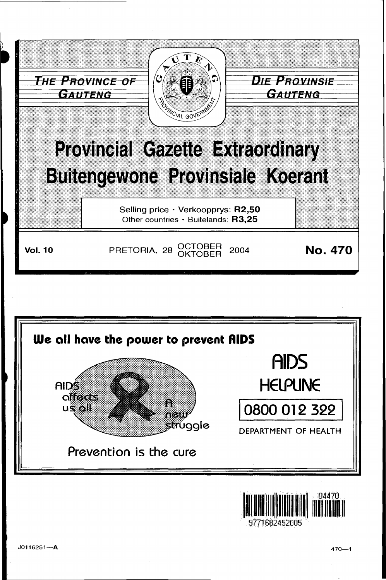





J0116251-A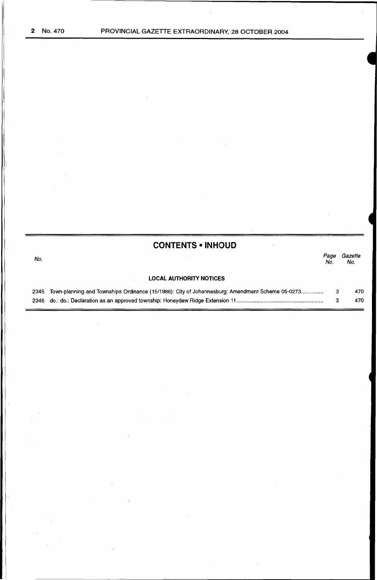## **CONTENTS • INHOUD**

 $\overline{1}$ 

| No. |                                                                                                      | Page<br>No. | Gazette<br>No. |
|-----|------------------------------------------------------------------------------------------------------|-------------|----------------|
|     | <b>LOCAL AUTHORITY NOTICES</b>                                                                       |             |                |
|     | 2345 Town-planning and Townships Ordinance (15/1986): City of Johannesburg: Amendment Scheme 05-0273 |             | 470            |
|     | 2346 do.: do.: Declaration as an approved township: Honeydew Ridge Extension 11…………………………………………………   |             | 470            |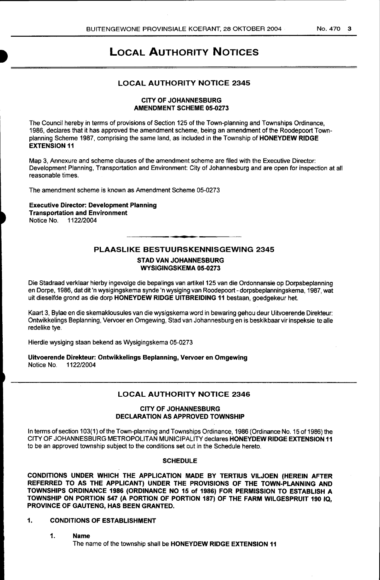## LOCAL AUTHORITY NOTICES

### LOCAL AUTHORITY NOTICE 2345

#### CITY OF JOHANNESBURG AMENDMENT SCHEME 05-0273

The Council hereby in terms of provisions of Section 125 of the Town-planning and Townships Ordinance, 1986, declares that it has approved the amendment scheme, being an amendment of the Roodepoort Townplanning Scheme 1987, comprising the same land, as included in the Township of HONEYDEW RIDGE EXTENSION 11

Map 3, Annexure and scheme clauses of the amendment scheme are filed with the Executive Director: Development Planning, Transportation and Environment: City of Johannesburg and are open for inspection at all reasonable times.

The amendment scheme is known as Amendment Scheme 05-0273

Executive Director: Development Planning Transportation and Environment Notice No. 1122/2004

### PLAASLIKE BESTUURSKENNISGEWING 2345

#### STAD VAN JOHANNESBURG WYSIGINGSKEMA 05-0273

Die Stadraad verklaar hierby ingevolge die bepalings van artikel 125 van die Ordonnansie op Dorpsbeplanning en Dorpe, 1986, dat dit 'n wysigingskema synde 'n wysiging van Roodepoort- dorpsbeplanningskema, 1987, wat uit dieselfde grond as die dorp HONEYDEW RIDGE UITBREIDING 11 bestaan, goedgekeur het.

Kaart 3, Bylae en die skemaklousules van die wysigskema word in bewaring gehou deur Uitvoerende Direkteur: Ontwikkelings Beplanning, Vervoer en Omgewing, Stad van Johannesburg en is beskikbaar vir inspeksie te aile redelike tye.

Hierdie wysiging staan bekend as Wysigingskema 05-0273

Uitvoerende Direkteur: Ontwikkelings Beplanning, Vervoer en Omgewing Notice No.

### LOCAL AUTHORITY NOTICE 2346

#### CITY OF JOHANNESBURG DECLARATION AS APPROVED TOWNSHIP

In terms of section 103(1) of the Town-planning and Townships Ordinance, 1986 (Ordinance No. 15 of 1986) the CITY OF JOHANNESBURG METROPOLITAN MUNICIPALITY declares HONEYDEW RIDGE EXTENSION 11 to be an approved township subject to the conditions set out in the Schedule hereto.

#### **SCHEDULE**

CONDITIONS UNDER WHICH THE APPLICATION MADE BY TERTIUS VILJOEN (HEREIN AFTER REFERRED TO AS THE APPLICANT) UNDER THE PROVISIONS OF THE TOWN-PLANNING AND TOWNSHIPS ORDINANCE 1986 (ORDINANCE NO 15 of 1986) FOR PERMISSION TO ESTABLISH A TOWNSHIP ON PORTION 547 (A PORTION OF PORTION 187) OF THE FARM WILGESPRUIT 190 IQ, PROVINCE OF GAUTENG, HAS BEEN GRANTED.

### 1. CONDITIONS OF ESTABLISHMENT

### 1. Name

The name of the township shall be HONEYDEW RIDGE EXTENSION 11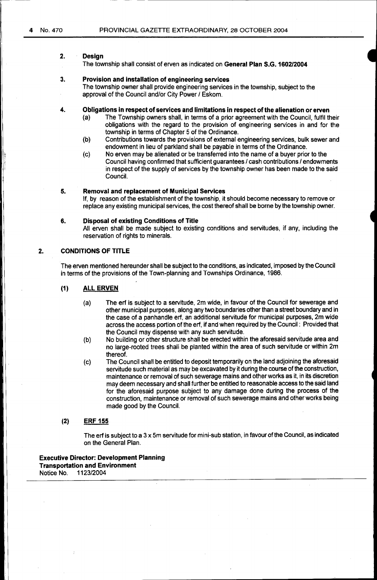#### 2. Design

The township shall consist of erven as indicated on General Plan S.G. 1602/2004

#### 3. Provision and installation of engineering services

The township owner shall provide engineering services in the township, subject to the approval of the Council and/or City Power / Eskom.

#### 4. Obligations in respect of services and limitations in respect of the alienation or erven

- (a) The Township owners shall, in terms of a prior agreement with the Council, fulfil their obligations with the regard to the provision of engineering services in and for the township in terms of Chapter 5 of the Ordinance.
- (b) Contributions towards the provisions of external engineering services, bulk sewer and endowment in lieu of parkland shall be payable in terms of the Ordinance.
- (c) No erven may be alienated or be transferred into the name of a buyer prior to the Council having confirmed that sufficient guarantees / cash contributions / endowments in respect of the supply of services by the township owner has been made to the said Council.

#### 5. Removal and replacement of Municipal Services

If, by reason of the establishment of the township, it should become necessary to remove or replace any existing municipal services, the cost thereof shall be borne by the township owner.

#### 6. Disposal of existing. Conditions of Title

All erven shall be made subject to existing conditions and servitudes, if any, including the reservation of rights to minerals.

### 2. CONDITIONS OF TITLE

The erven mentioned hereunder shall be subject to the conditions, as indicated, imposed by the Council in terms of the provisions of the Town-planning and Townships Ordinance, 1986.

#### (1) ALL ERVEN

- (a) The erf is subject to a servitude, 2m wide, in favour of the Council for sewerage and other municipal purposes, along any two boundaries other than a street boundary and in the case of a panhandle erf, an additional servitude for municipal purposes, 2m wide across the access portion of the erf, if and when required by the Council: Provided that the Council may dispense with any such servitude.
- (b) No building or other structure shall be erected within the aforesaid servitude area and no large-rooted trees shall be planted within the area of such servitude or within 2m thereof.
- (c) The Council shall be entitled to deposit temporarily on the land adjoining the aforesaid servitude such material as may be excavated by it during the course of the construction, maintenance or removal of such sewerage mains and other works as it, in its discretion may deem necessary and shall further be entitled to reasonable access to the said land for the aforesaid purpose subject to any damage done during the process of the construction, maintenance or removal of such sewerage mains and other works being made good by the Council.

#### (2) ERF 155

The erf is subject to a 3 x 5m servitude for mini-sub station, in favour of the Council, as indicated on the General Plan.

Executive Director: Development Planning Transportation and Environment<br>Notice No. 1123/2004 Notice No.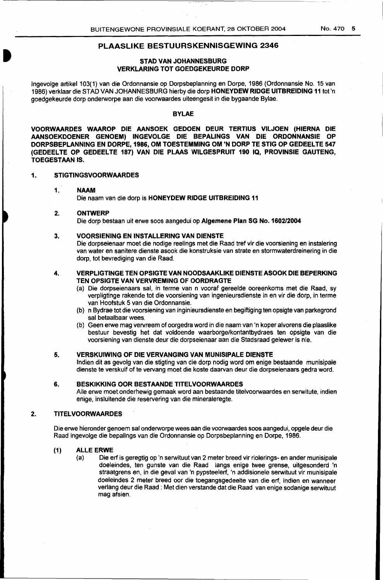#### PLAASLIKE BESTUURSKENNISGEWING 2346

#### STAD VAN JOHANNESBURG VERKLARING TOT GOEDGEKEURDE DORP

lngevolge artikel103(1) van die Ordonnansie op Dorpsbeplanning en Dorpe, 1986 (Ordonnansie No. 15 van 1986) verklaar die STAD VAN JOHANNESBURG hierby die dorp HONEYDEW RIDGE UITBREIDING 11 tot 'n goedgekeurde dorp onderworpe aan die voorwaardes uiteengesit in die bygaande Bylae.

#### BYLAE

VOORWAARDES WAAROP DIE AANSOEK GEDOEN DEUR TERTIUS VILJOEN (HIERNA DIE AANSOEKDOENER GENOEM) INGEVOLGE DIE BEPALINGS VAN DIE ORDONNANSIE OP DORPSBEPLANNING EN DORPE, 1986, OM TOESTEMMING OM 'N DORP TE STIG OP GEDEELTE 547 (GEDEELTE OP GEDEELTE 187) VAN DIE PLAAS WILGESPRUIT 190 IQ, PROVINSIE GAUTENG, TOEGESTAAN IS.

#### 1. STIGTINGSVOORWAARDES

#### 1. NAAM

#### Die naam van die dorp is HONEYDEW RIDGE UITBREIDING 11

#### 2~ ONTWERP

Die dorp bestaan uit erwe soos aangedui op Algemene Plan SG No. 1602/2004

#### 3. VOORSIENING EN INSTALLERING VAN DIENSTE

Die dorpseienaar moet die nodige reelings met die Raad tref vir die voorsiening en instalering van water en sanitere dienste asook die konstruksie van strate en stormwaterdreinering in die dorp, tot bevrediging van die Raad.

#### 4. VERPLIGTINGE TEN OPSIGTE VAN NOODSAAKLIKE DIENSTE ASOOK DIE BEPERKING TEN OPSIGTE VAN VERVREMING OF OORDRAGTE

- (a) Die dorpseienaars sal, in terme van n vooraf gereelde ooreenkoms met die Raad, sy verpligtinge rakende tot die voorsiening van ingenieursdienste in en vir die dorp, in terme van Hoofstuk 5 van die Ordonnansie.
- (b) n Bydrae tot die voorsiening van inginieursdienste en begiftiging ten opsigte van parkegrond sal betaalbaar wees.
- (b) Geen erwe mag vervreem of oorgedra word in die naam van 'n koper alvorens die plaaslike bestuur bevestig het dat voldoende waarborge/kontantbydraes ten opsigte van die voorsiening van dienste deur die dorpseienaar aan die Stadsraad gelewer is nie.

#### 5. VERSKUIWING OF DIE VERVANGING VAN MUNISIPALE DIENSTE

lndien dit as gevolg van die stigting van die dorp nodig word om enige bestaande munisipale dienste te verskuif of te vervang moet die koste daarvan deur die dorpseienaars gedra word.

#### 6. BESKIKKING OOR BESTAANDE TITELVOORWAARDES

Aile erwe moet onderhewig gemaak word aan bestaande titelvoorwaardes en serwitute, indien enige, insluitende die reservering van die mineraleregte.

#### 2. TITELVOORWAARDES

Die erwe hieronder genoem sal onderworpe wees aan die voorwaardes soos aangedui, opgele deur die Raad ingevolge die bepalings van die Ordonnansie op Dorpsbeplanning en Dorpe, 1986.

#### (1) ALLE ERWE

(a) Die erf is geregtig op 'n serwituut van 2 meter breed vir riolerings- en ander munisipale doeleindes, ten gunste van die Raad langs enige twee grense, uitgesonderd 'n straatgrens en, in die geval van 'n pypsteelerf, 'n addisionele serwituut vir munisipale doeleindes 2 meter breed oor die toegangsgedeelte van die erf, indien en wanneer verlang deur die Raad : Met dien verstande dat die Raad van enige sodanige serwituut mag afsien.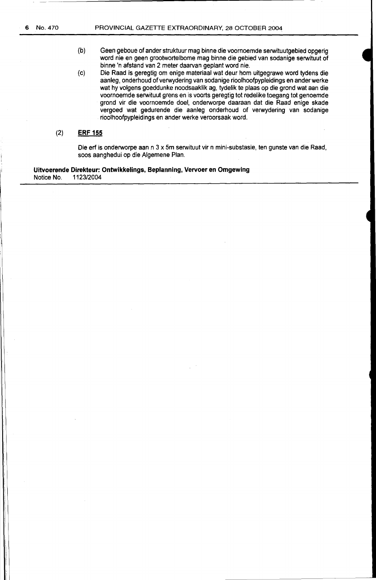- {b) Geen geboue of ander struktuur mag binne die voornoemde serwituutgebied opgerig word nie en geen grootwortelbome mag binne die gebied van sodanige serwituut of binne 'n afstand van 2 meter daarvan geplant word nie.
- (c) Die Raad is geregtig om enige materiaal wat deur hom uitgegrawe word tydens die aanleg, onderhoud of verwydering van sodanige rioolhoofpypleidings en ander werke wat hy volgens goeddunke noodsaaklik ag, tydelik te plaas op die grond wat aan die voornoemde serwituut grens en is voorts geregtig tot redelike toegang tot genoemde grand vir die voornoemde doel, onderworpe daaraan dat die Raad enige skade vergoed wat gedurende die aanleg onderhoud of verwydering van sodanige rioolhoofpypleidings en ander werke veroorsaak word.

#### (2) **ERF 155**

Die erf is onderworpe aan n 3 x 5m serwituut vir n mini-substasie, ten gunste van die Raad, soos aanghedui op die Algemene Plan.

**Uitvoerende Direkteur: Ontwikkelings, Beplanning, Vervoer en Omgewing**  Notice No. 1123/2004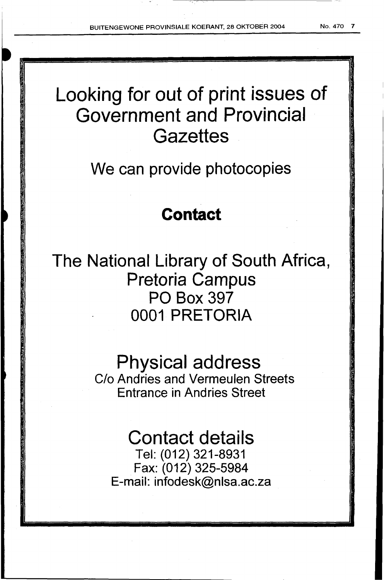# Looking for out of print issues of Government and Provincial **Gazettes**

## We can provide photocopies

## **Contact**

The National Library of South Africa, Pretoria Campus PO Box 397 0001 PRETORIA

## Physical address

C/o Andries and Vermeulen Streets Entrance in Andries Street

# Contact details

Tel: (012) 321-8931 Fax: (012) 325-5984 E-mail: infodesk@nlsa.ac.za